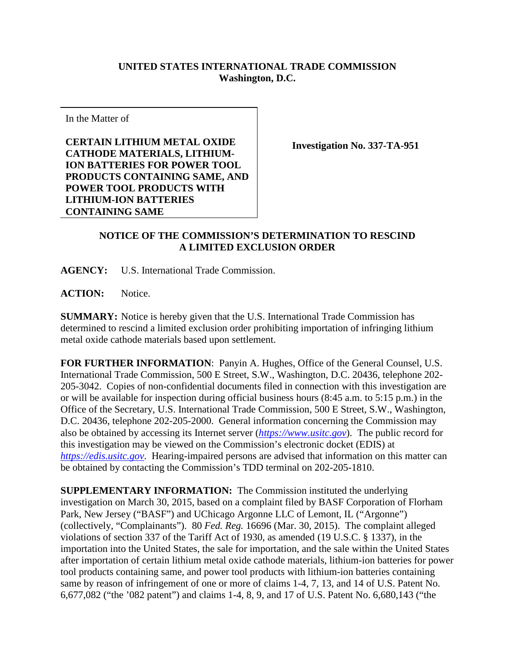## **UNITED STATES INTERNATIONAL TRADE COMMISSION Washington, D.C.**

In the Matter of

**CERTAIN LITHIUM METAL OXIDE CATHODE MATERIALS, LITHIUM-ION BATTERIES FOR POWER TOOL PRODUCTS CONTAINING SAME, AND POWER TOOL PRODUCTS WITH LITHIUM-ION BATTERIES CONTAINING SAME** 

**Investigation No. 337-TA-951**

## **NOTICE OF THE COMMISSION'S DETERMINATION TO RESCIND A LIMITED EXCLUSION ORDER**

**AGENCY:** U.S. International Trade Commission.

**ACTION:** Notice.

**SUMMARY:** Notice is hereby given that the U.S. International Trade Commission has determined to rescind a limited exclusion order prohibiting importation of infringing lithium metal oxide cathode materials based upon settlement.

**FOR FURTHER INFORMATION**: Panyin A. Hughes, Office of the General Counsel, U.S. International Trade Commission, 500 E Street, S.W., Washington, D.C. 20436, telephone 202- 205-3042. Copies of non-confidential documents filed in connection with this investigation are or will be available for inspection during official business hours (8:45 a.m. to 5:15 p.m.) in the Office of the Secretary, U.S. International Trade Commission, 500 E Street, S.W., Washington, D.C. 20436, telephone 202-205-2000. General information concerning the Commission may also be obtained by accessing its Internet server (*[https://www.usitc.gov](https://www.usitc.gov/)*). The public record for this investigation may be viewed on the Commission's electronic docket (EDIS) at *[https://edis.usitc.gov](https://edis.usitc.gov/)*. Hearing-impaired persons are advised that information on this matter can be obtained by contacting the Commission's TDD terminal on 202-205-1810.

**SUPPLEMENTARY INFORMATION:** The Commission instituted the underlying investigation on March 30, 2015, based on a complaint filed by BASF Corporation of Florham Park, New Jersey ("BASF") and UChicago Argonne LLC of Lemont, IL ("Argonne") (collectively, "Complainants"). 80 *Fed. Reg.* 16696 (Mar. 30, 2015). The complaint alleged violations of section 337 of the Tariff Act of 1930, as amended (19 U.S.C. § 1337), in the importation into the United States, the sale for importation, and the sale within the United States after importation of certain lithium metal oxide cathode materials, lithium-ion batteries for power tool products containing same, and power tool products with lithium-ion batteries containing same by reason of infringement of one or more of claims 1-4, 7, 13, and 14 of U.S. Patent No. 6,677,082 ("the '082 patent") and claims 1-4, 8, 9, and 17 of U.S. Patent No. 6,680,143 ("the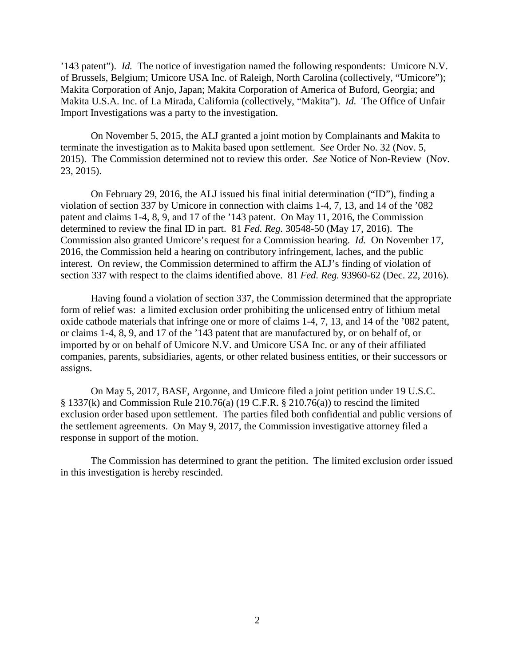'143 patent"). *Id.* The notice of investigation named the following respondents: Umicore N.V. of Brussels, Belgium; Umicore USA Inc. of Raleigh, North Carolina (collectively, "Umicore"); Makita Corporation of Anjo, Japan; Makita Corporation of America of Buford, Georgia; and Makita U.S.A. Inc. of La Mirada, California (collectively, "Makita"). *Id.* The Office of Unfair Import Investigations was a party to the investigation.

On November 5, 2015, the ALJ granted a joint motion by Complainants and Makita to terminate the investigation as to Makita based upon settlement. *See* Order No. 32 (Nov. 5, 2015). The Commission determined not to review this order. *See* Notice of Non-Review (Nov. 23, 2015).

On February 29, 2016, the ALJ issued his final initial determination ("ID"), finding a violation of section 337 by Umicore in connection with claims 1-4, 7, 13, and 14 of the '082 patent and claims 1-4, 8, 9, and 17 of the '143 patent. On May 11, 2016, the Commission determined to review the final ID in part. 81 *Fed. Reg.* 30548-50 (May 17, 2016). The Commission also granted Umicore's request for a Commission hearing. *Id.* On November 17, 2016, the Commission held a hearing on contributory infringement, laches, and the public interest. On review, the Commission determined to affirm the ALJ's finding of violation of section 337 with respect to the claims identified above. 81 *Fed. Reg.* 93960-62 (Dec. 22, 2016).

Having found a violation of section 337, the Commission determined that the appropriate form of relief was: a limited exclusion order prohibiting the unlicensed entry of lithium metal oxide cathode materials that infringe one or more of claims 1-4, 7, 13, and 14 of the '082 patent, or claims 1-4, 8, 9, and 17 of the '143 patent that are manufactured by, or on behalf of, or imported by or on behalf of Umicore N.V. and Umicore USA Inc. or any of their affiliated companies, parents, subsidiaries, agents, or other related business entities, or their successors or assigns.

On May 5, 2017, BASF, Argonne, and Umicore filed a joint petition under 19 U.S.C.  $§$  1337(k) and Commission Rule 210.76(a) (19 C.F.R.  $§$  210.76(a)) to rescind the limited exclusion order based upon settlement. The parties filed both confidential and public versions of the settlement agreements. On May 9, 2017, the Commission investigative attorney filed a response in support of the motion.

The Commission has determined to grant the petition. The limited exclusion order issued in this investigation is hereby rescinded.